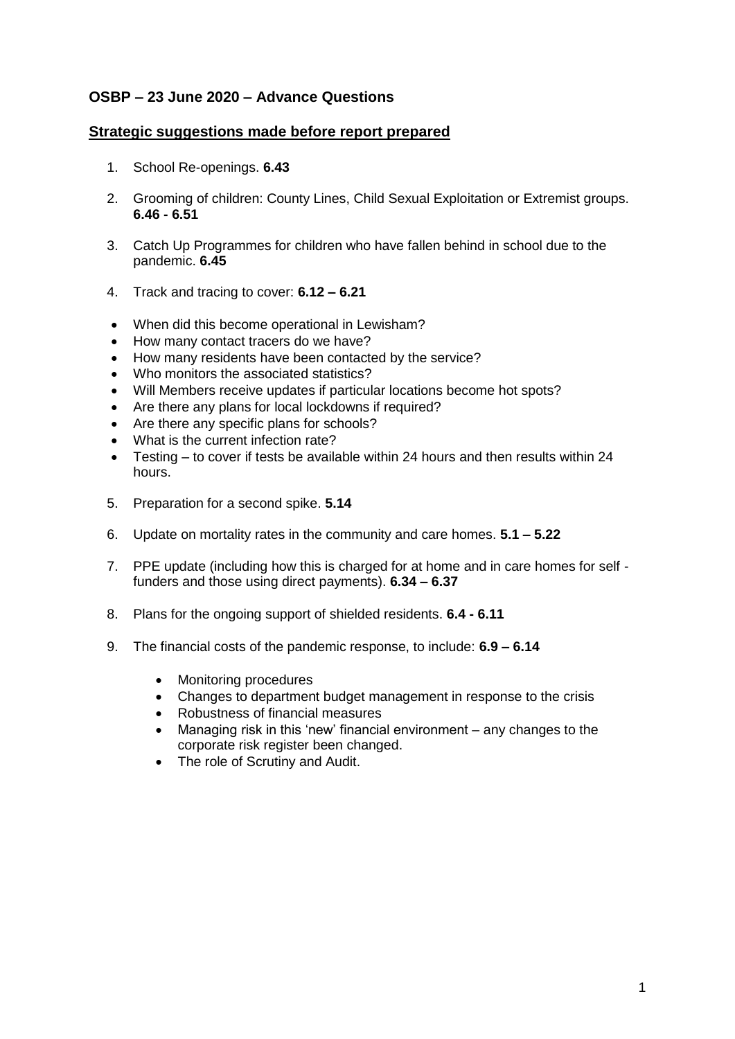### **OSBP – 23 June 2020 – Advance Questions**

#### **Strategic suggestions made before report prepared**

- 1. School Re-openings. **6.43**
- 2. Grooming of children: County Lines, Child Sexual Exploitation or Extremist groups. **6.46 - 6.51**
- 3. Catch Up Programmes for children who have fallen behind in school due to the pandemic. **6.45**
- 4. Track and tracing to cover: **6.12 – 6.21**
- When did this become operational in Lewisham?
- How many contact tracers do we have?
- How many residents have been contacted by the service?
- Who monitors the associated statistics?
- Will Members receive updates if particular locations become hot spots?
- Are there any plans for local lockdowns if required?
- Are there any specific plans for schools?
- What is the current infection rate?
- Testing to cover if tests be available within 24 hours and then results within 24 hours.
- 5. Preparation for a second spike. **5.14**
- 6. Update on mortality rates in the community and care homes. **5.1 – 5.22**
- 7. PPE update (including how this is charged for at home and in care homes for self funders and those using direct payments). **6.34 – 6.37**
- 8. Plans for the ongoing support of shielded residents. **6.4 - 6.11**
- 9. The financial costs of the pandemic response, to include: **6.9 – 6.14**
	- Monitoring procedures
	- Changes to department budget management in response to the crisis
	- Robustness of financial measures
	- Managing risk in this 'new' financial environment any changes to the corporate risk register been changed.
	- The role of Scrutiny and Audit.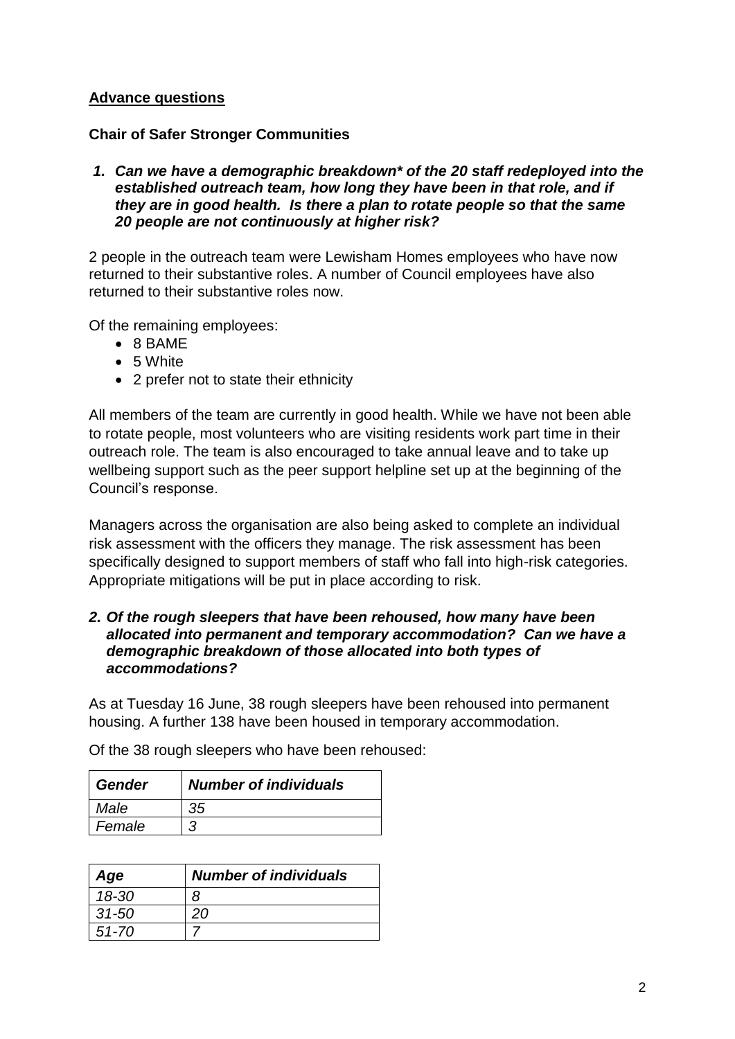## **Advance questions**

### **Chair of Safer Stronger Communities**

#### *1. Can we have a demographic breakdown\* of the 20 staff redeployed into the established outreach team, how long they have been in that role, and if they are in good health. Is there a plan to rotate people so that the same 20 people are not continuously at higher risk?*

2 people in the outreach team were Lewisham Homes employees who have now returned to their substantive roles. A number of Council employees have also returned to their substantive roles now.

Of the remaining employees:

- 8 BAME
- 5 White
- 2 prefer not to state their ethnicity

All members of the team are currently in good health. While we have not been able to rotate people, most volunteers who are visiting residents work part time in their outreach role. The team is also encouraged to take annual leave and to take up wellbeing support such as the peer support helpline set up at the beginning of the Council's response.

Managers across the organisation are also being asked to complete an individual risk assessment with the officers they manage. The risk assessment has been specifically designed to support members of staff who fall into high-risk categories. Appropriate mitigations will be put in place according to risk.

#### *2. Of the rough sleepers that have been rehoused, how many have been allocated into permanent and temporary accommodation? Can we have a demographic breakdown of those allocated into both types of accommodations?*

As at Tuesday 16 June, 38 rough sleepers have been rehoused into permanent housing. A further 138 have been housed in temporary accommodation.

| ∣ Gender | <b>Number of individuals</b> |
|----------|------------------------------|
| Male     | 35                           |
| Female   |                              |

Of the 38 rough sleepers who have been rehoused:

| Age       | <b>Number of individuals</b> |
|-----------|------------------------------|
| 18-30     | 8                            |
| $31 - 50$ | 20                           |
| $51 - 70$ |                              |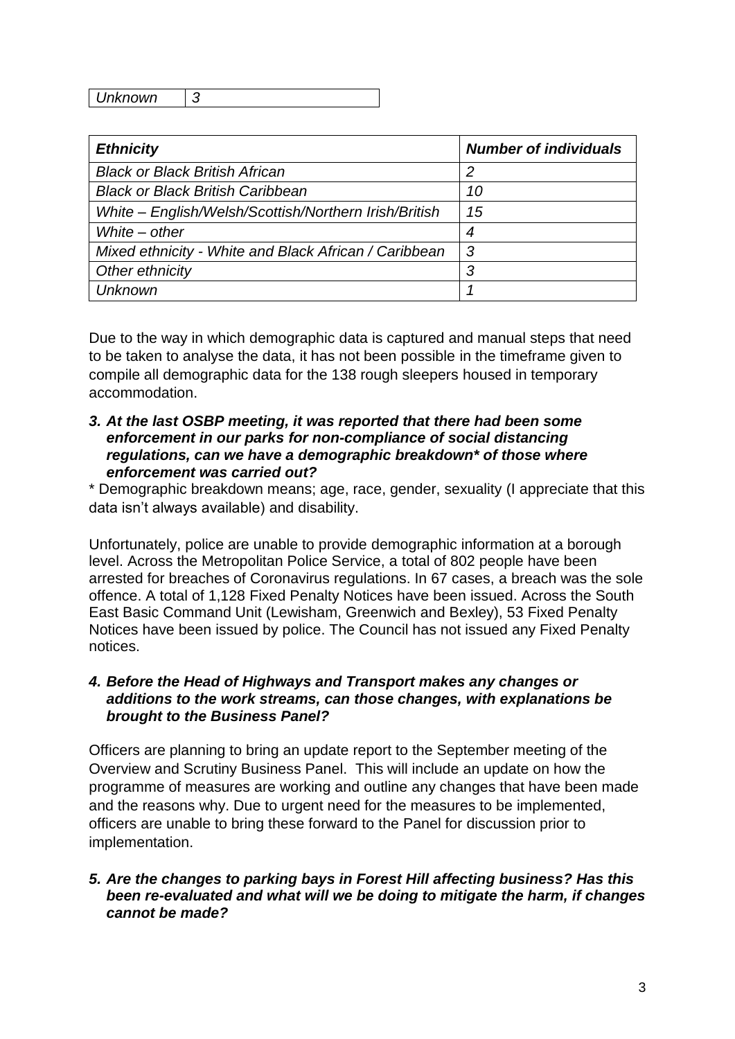*Unknown 3*

| <b>Ethnicity</b>                                      | <b>Number of individuals</b> |
|-------------------------------------------------------|------------------------------|
| <b>Black or Black British African</b>                 | 2                            |
| <b>Black or Black British Caribbean</b>               | 10                           |
| White - English/Welsh/Scottish/Northern Irish/British | 15                           |
| White $-$ other                                       | 4                            |
| Mixed ethnicity - White and Black African / Caribbean | 3                            |
| Other ethnicity                                       | 3                            |
| <b>Unknown</b>                                        |                              |

Due to the way in which demographic data is captured and manual steps that need to be taken to analyse the data, it has not been possible in the timeframe given to compile all demographic data for the 138 rough sleepers housed in temporary accommodation.

#### *3. At the last OSBP meeting, it was reported that there had been some enforcement in our parks for non-compliance of social distancing regulations, can we have a demographic breakdown\* of those where enforcement was carried out?*

\* Demographic breakdown means; age, race, gender, sexuality (I appreciate that this data isn't always available) and disability.

Unfortunately, police are unable to provide demographic information at a borough level. Across the Metropolitan Police Service, a total of 802 people have been arrested for breaches of Coronavirus regulations. In 67 cases, a breach was the sole offence. A total of 1,128 Fixed Penalty Notices have been issued. Across the South East Basic Command Unit (Lewisham, Greenwich and Bexley), 53 Fixed Penalty Notices have been issued by police. The Council has not issued any Fixed Penalty notices.

### *4. Before the Head of Highways and Transport makes any changes or additions to the work streams, can those changes, with explanations be brought to the Business Panel?*

Officers are planning to bring an update report to the September meeting of the Overview and Scrutiny Business Panel. This will include an update on how the programme of measures are working and outline any changes that have been made and the reasons why. Due to urgent need for the measures to be implemented, officers are unable to bring these forward to the Panel for discussion prior to implementation.

### *5. Are the changes to parking bays in Forest Hill affecting business? Has this been re-evaluated and what will we be doing to mitigate the harm, if changes cannot be made?*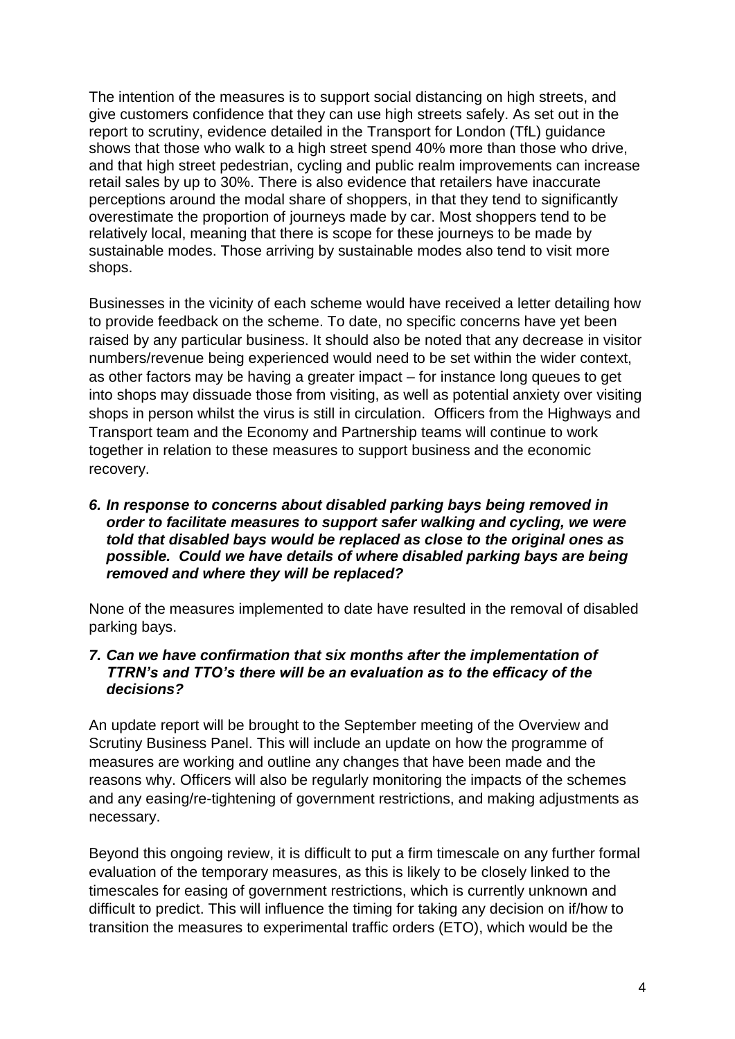The intention of the measures is to support social distancing on high streets, and give customers confidence that they can use high streets safely. As set out in the report to scrutiny, evidence detailed in the Transport for London (TfL) guidance shows that those who walk to a high street spend 40% more than those who drive, and that high street pedestrian, cycling and public realm improvements can increase retail sales by up to 30%. There is also evidence that retailers have inaccurate perceptions around the modal share of shoppers, in that they tend to significantly overestimate the proportion of journeys made by car. Most shoppers tend to be relatively local, meaning that there is scope for these journeys to be made by sustainable modes. Those arriving by sustainable modes also tend to visit more shops.

Businesses in the vicinity of each scheme would have received a letter detailing how to provide feedback on the scheme. To date, no specific concerns have yet been raised by any particular business. It should also be noted that any decrease in visitor numbers/revenue being experienced would need to be set within the wider context, as other factors may be having a greater impact – for instance long queues to get into shops may dissuade those from visiting, as well as potential anxiety over visiting shops in person whilst the virus is still in circulation. Officers from the Highways and Transport team and the Economy and Partnership teams will continue to work together in relation to these measures to support business and the economic recovery.

#### *6. In response to concerns about disabled parking bays being removed in order to facilitate measures to support safer walking and cycling, we were told that disabled bays would be replaced as close to the original ones as possible. Could we have details of where disabled parking bays are being removed and where they will be replaced?*

None of the measures implemented to date have resulted in the removal of disabled parking bays.

#### *7. Can we have confirmation that six months after the implementation of TTRN's and TTO's there will be an evaluation as to the efficacy of the decisions?*

An update report will be brought to the September meeting of the Overview and Scrutiny Business Panel. This will include an update on how the programme of measures are working and outline any changes that have been made and the reasons why. Officers will also be regularly monitoring the impacts of the schemes and any easing/re-tightening of government restrictions, and making adjustments as necessary.

Beyond this ongoing review, it is difficult to put a firm timescale on any further formal evaluation of the temporary measures, as this is likely to be closely linked to the timescales for easing of government restrictions, which is currently unknown and difficult to predict. This will influence the timing for taking any decision on if/how to transition the measures to experimental traffic orders (ETO), which would be the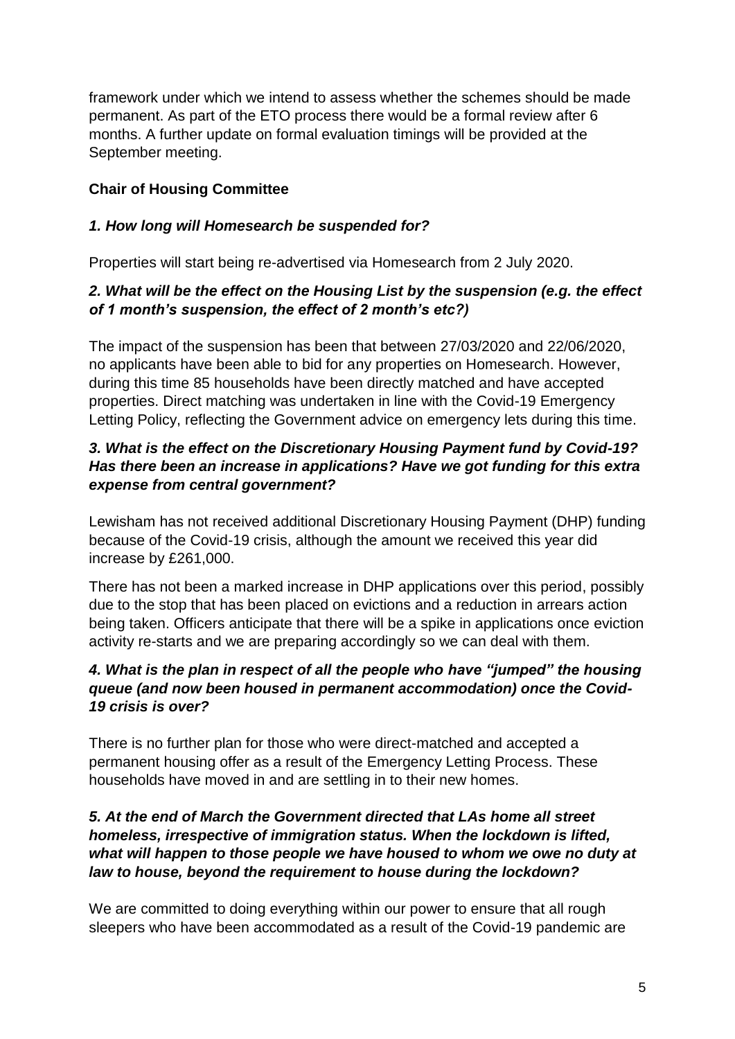framework under which we intend to assess whether the schemes should be made permanent. As part of the ETO process there would be a formal review after 6 months. A further update on formal evaluation timings will be provided at the September meeting.

# **Chair of Housing Committee**

### *1. How long will Homesearch be suspended for?*

Properties will start being re-advertised via Homesearch from 2 July 2020.

## *2. What will be the effect on the Housing List by the suspension (e.g. the effect of 1 month's suspension, the effect of 2 month's etc?)*

The impact of the suspension has been that between 27/03/2020 and 22/06/2020, no applicants have been able to bid for any properties on Homesearch. However, during this time 85 households have been directly matched and have accepted properties. Direct matching was undertaken in line with the Covid-19 Emergency Letting Policy, reflecting the Government advice on emergency lets during this time.

## *3. What is the effect on the Discretionary Housing Payment fund by Covid-19? Has there been an increase in applications? Have we got funding for this extra expense from central government?*

Lewisham has not received additional Discretionary Housing Payment (DHP) funding because of the Covid-19 crisis, although the amount we received this year did increase by £261,000.

There has not been a marked increase in DHP applications over this period, possibly due to the stop that has been placed on evictions and a reduction in arrears action being taken. Officers anticipate that there will be a spike in applications once eviction activity re-starts and we are preparing accordingly so we can deal with them.

## *4. What is the plan in respect of all the people who have "jumped" the housing queue (and now been housed in permanent accommodation) once the Covid-19 crisis is over?*

There is no further plan for those who were direct-matched and accepted a permanent housing offer as a result of the Emergency Letting Process. These households have moved in and are settling in to their new homes.

### *5. At the end of March the Government directed that LAs home all street homeless, irrespective of immigration status. When the lockdown is lifted, what will happen to those people we have housed to whom we owe no duty at law to house, beyond the requirement to house during the lockdown?*

We are committed to doing everything within our power to ensure that all rough sleepers who have been accommodated as a result of the Covid-19 pandemic are